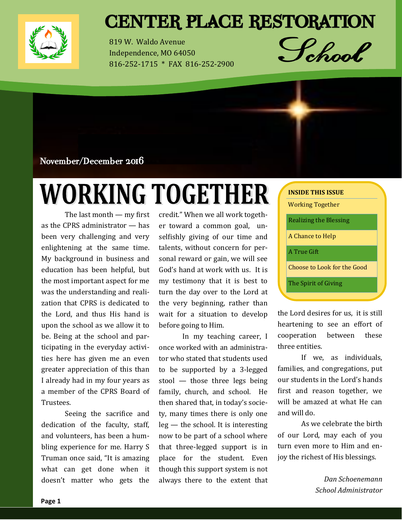

## **CENTER PLACE RESTORATION**

819 W. Waldo Avenue Independence, MO 64050 816-252-1715 \* FAX 816-252-2900



November/December 2016

# **WORKING TOGETHER**

The last month — my first as the CPRS administrator — has been very challenging and very enlightening at the same time. My background in business and education has been helpful, but the most important aspect for me was the understanding and realization that CPRS is dedicated to the Lord, and thus His hand is upon the school as we allow it to be. Being at the school and participating in the everyday activities here has given me an even greater appreciation of this than I already had in my four years as a member of the CPRS Board of Trustees.

Seeing the sacrifice and dedication of the faculty, staff, and volunteers, has been a humbling experience for me. Harry S Truman once said, "It is amazing what can get done when it doesn't matter who gets the

credit." When we all work together toward a common goal, unselfishly giving of our time and talents, without concern for personal reward or gain, we will see God's hand at work with us. It is my testimony that it is best to turn the day over to the Lord at the very beginning, rather than wait for a situation to develop before going to Him.

In my teaching career, I once worked with an administrator who stated that students used to be supported by a 3-legged stool — those three legs being family, church, and school. He then shared that, in today's society, many times there is only one leg — the school. It is interesting now to be part of a school where that three-legged support is in place for the student. Even though this support system is not always there to the extent that

| <b>INSIDE THIS ISSUE</b>    |
|-----------------------------|
| Working Together            |
| Realizing the Blessing      |
| A Chance to Help            |
| A True Gift                 |
| Choose to Look for the Good |
| The Spirit of Giving        |

the Lord desires for us, it is still heartening to see an effort of cooperation between these three entities.

If we, as individuals, families, and congregations, put our students in the Lord's hands first and reason together, we will be amazed at what He can and will do.

As we celebrate the birth of our Lord, may each of you turn even more to Him and enjoy the richest of His blessings.

> *Dan Schoenemann School Administrator*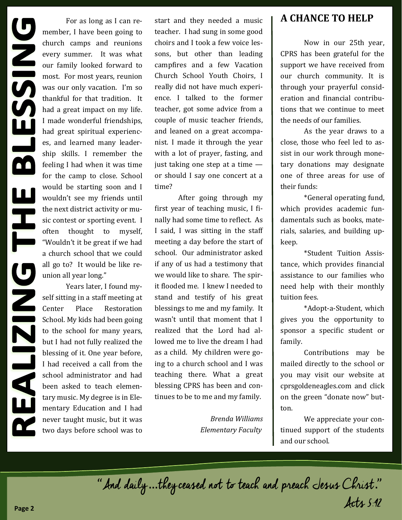For as long as I can remember, I have been going to church camps and reunions every summer. It was what our family looked forward to most. For most years, reunion was our only vacation. I'm so thankful for that tradition. It had a great impact on my life. I made wonderful friendships, had great spiritual experiences, and learned many leadership skills. I remember the feeling I had when it was time for the camp to close. School would be starting soon and I wouldn't see my friends until the next district activity or music contest or sporting event. I often thought to myself, "Wouldn't it be great if we had a church school that we could all go to? It would be like reunion all year long."

Years later, I found myself sitting in a staff meeting at Center Place Restoration School. My kids had been going to the school for many years, but I had not fully realized the blessing of it. One year before, I had received a call from the school administrator and had been asked to teach elementary music. My degree is in Elementary Education and I had never taught music, but it was two days before school was to start and they needed a music teacher. I had sung in some good choirs and I took a few voice lessons, but other than leading campfires and a few Vacation Church School Youth Choirs, I really did not have much experience. I talked to the former teacher, got some advice from a couple of music teacher friends, and leaned on a great accompanist. I made it through the year with a lot of prayer, fasting, and just taking one step at a time or should I say one concert at a time?

After going through my first year of teaching music, I finally had some time to reflect. As I said, I was sitting in the staff meeting a day before the start of school. Our administrator asked if any of us had a testimony that we would like to share. The spirit flooded me. I knew I needed to stand and testify of his great blessings to me and my family. It wasn't until that moment that I realized that the Lord had allowed me to live the dream I had as a child. My children were going to a church school and I was teaching there. What a great blessing CPRS has been and continues to be to me and my family.

> *Brenda Williams Elementary Faculty*

#### **A CHANCE TO HELP**

Now in our 25th year, CPRS has been grateful for the support we have received from our church community. It is through your prayerful consideration and financial contributions that we continue to meet the needs of our families.

As the year draws to a close, those who feel led to assist in our work through monetary donations may designate one of three areas for use of their funds:

\*General operating fund, which provides academic fundamentals such as books, materials, salaries, and building upkeep.

\*Student Tuition Assistance, which provides financial assistance to our families who need help with their monthly tuition fees.

\*Adopt-a-Student, which gives you the opportunity to sponsor a specific student or family.

Contributions may be mailed directly to the school or you may visit our website at cprsgoldeneagles.com and click on the green "donate now" button.

We appreciate your continued support of the students and our school.

"And daily ...they ceased not to teach and preach Jesus Christ." Acts 5:42 **Page 2**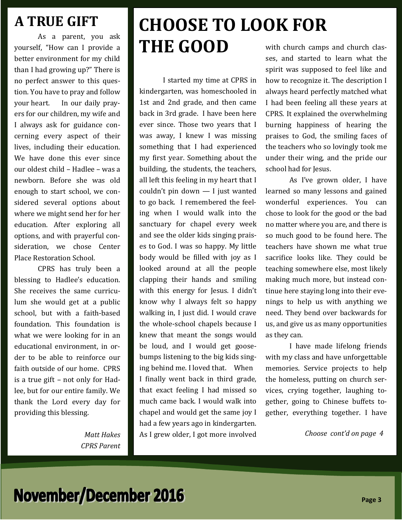## **A TRUE GIFT**

As a parent, you ask yourself, "How can I provide a better environment for my child than I had growing up?" There is no perfect answer to this question. You have to pray and follow your heart. In our daily prayers for our children, my wife and I always ask for guidance concerning every aspect of their lives, including their education. We have done this ever since our oldest child – Hadlee – was a newborn. Before she was old enough to start school, we considered several options about where we might send her for her education. After exploring all options, and with prayerful consideration, we chose Center Place Restoration School.

CPRS has truly been a blessing to Hadlee's education. She receives the same curriculum she would get at a public school, but with a faith-based foundation. This foundation is what we were looking for in an educational environment, in order to be able to reinforce our faith outside of our home. CPRS is a true gift – not only for Hadlee, but for our entire family. We thank the Lord every day for providing this blessing.

> *Matt Hakes CPRS Parent*

#### TOSE TA LA **CHOOSE TO LOOK FOR THE GOOD**  $\cdots$   $\cdots$

I started my time at CPRS in kindergarten, was homeschooled in music for the communication in 1st and 2nd grade, and then came  $t_{\text{max}}$  and  $t_{\text{max}}$  and their came back in 3rd grade. I have been here ever since. Those two years that I was away, I knew I was missing something that I had experienced my first year. Something about the building, the students, the teachers, all left this feeling in my heart that I couldn't pin down — I just wanted to go back. I remembered the feeling when I would walk into the sanctuary for chapel every week and see the older kids singing praises to God. I was so happy. My little body would be filled with joy as I looked around at all the people clapping their hands and smiling with this energy for Jesus. I didn't know why I always felt so happy walking in, I just did. I would crave the whole-school chapels because I knew that meant the songs would be loud, and I would get goosebumps listening to the big kids singing behind me. I loved that. When I finally went back in third grade, that exact feeling I had missed so much came back. I would walk into chapel and would get the same joy I had a few years ago in kindergarten. As I grew older, I got more involved

with church camps and church classes, and started to learn what the spirit was supposed to feel like and how to recognize it. The description I always heard perfectly matched what I had been feeling all these years at CPRS. It explained the overwhelming burning happiness of hearing the praises to God, the smiling faces of the teachers who so lovingly took me under their wing, and the pride our school had for Jesus.

As I've grown older, I have learned so many lessons and gained wonderful experiences. You can chose to look for the good or the bad no matter where you are, and there is so much good to be found here. The teachers have shown me what true sacrifice looks like. They could be teaching somewhere else, most likely making much more, but instead continue here staying long into their evenings to help us with anything we need. They bend over backwards for us, and give us as many opportunities as they can.

I have made lifelong friends with my class and have unforgettable memories. Service projects to help the homeless, putting on church services, crying together, laughing together, going to Chinese buffets together, everything together. I have

*Choose cont'd on page 4*